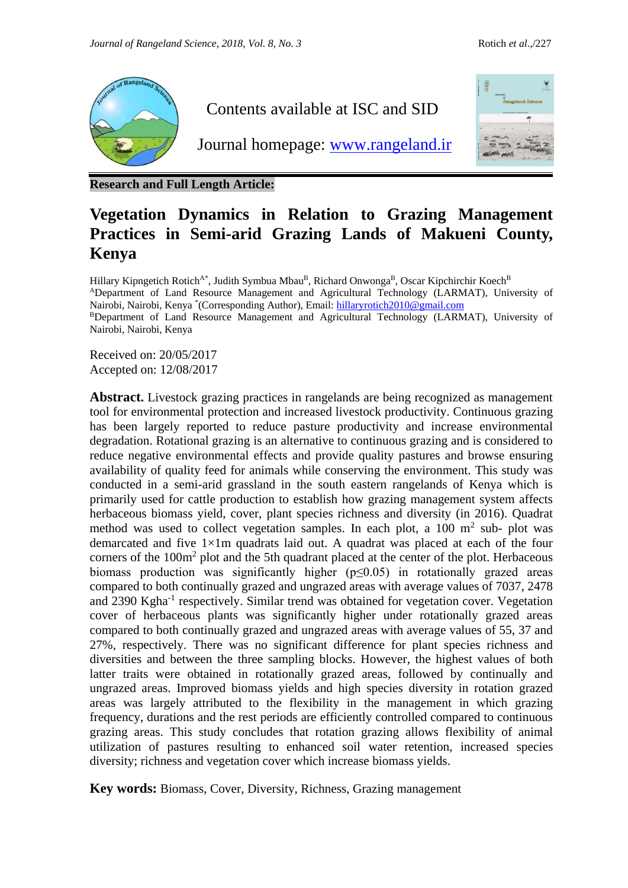

**Research and Full Length Article:**

## **Vegetation Dynamics in Relation to Grazing Management Practices in Semi-arid Grazing Lands of Makueni County, Kenya**

Hillary Kipngetich Rotich<sup>A\*</sup>, Judith Symbua Mbau<sup>B</sup>, Richard Onwonga<sup>B</sup>, Oscar Kipchirchir Koech<sup>B</sup> <sup>A</sup>Department of Land Resource Management and Agricultural Technology (LARMAT), University of Nairobi, Nairobi, Kenya <sup>\*</sup> (Corresponding Author), Email: [hillaryrotich2010@gmail.com](mailto:hillaryrotich2010@gmail.com)

BDepartment of Land Resource Management and Agricultural Technology (LARMAT), University of Nairobi, Nairobi, Kenya

Received on: 20/05/2017 Accepted on: 12/08/2017

Abstract. Livestock grazing practices in rangelands are being recognized as management tool for environmental protection and increased livestock productivity. Continuous grazing has been largely reported to reduce pasture productivity and increase environmental degradation. Rotational grazing is an alternative to continuous grazing and is considered to reduce negative environmental effects and provide quality pastures and browse ensuring availability of quality feed for animals while conserving the environment. This study was conducted in a semi-arid grassland in the south eastern rangelands of Kenya which is primarily used for cattle production to establish how grazing management system affects herbaceous biomass yield, cover, plant species richness and diversity (in 2016). Quadrat method was used to collect vegetation samples. In each plot, a  $100 \text{ m}^2$  sub- plot was demarcated and five 1×1m quadrats laid out. A quadrat was placed at each of the four corners of the 100m<sup>2</sup> plot and the 5th quadrant placed at the center of the plot. Herbaceous biomass production was significantly higher  $(p \le 0.05)$  in rotationally grazed areas compared to both continually grazed and ungrazed areas with average values of 7037, 2478 and 2390 Kgha<sup>-1</sup> respectively. Similar trend was obtained for vegetation cover. Vegetation cover of herbaceous plants was significantly higher under rotationally grazed areas compared to both continually grazed and ungrazed areas with average values of 55, 37 and 27%, respectively. There was no significant difference for plant species richness and diversities and between the three sampling blocks. However, the highest values of both latter traits were obtained in rotationally grazed areas, followed by continually and ungrazed areas. Improved biomass yields and high species diversity in rotation grazed areas was largely attributed to the flexibility in the management in which grazing frequency, durations and the rest periods are efficiently controlled compared to continuous grazing areas. This study concludes that rotation grazing allows flexibility of animal utilization of pastures resulting to enhanced soil water retention, increased species diversity; richness and vegetation cover which increase biomass yields.

**Key words:** Biomass, Cover, Diversity, Richness, Grazing management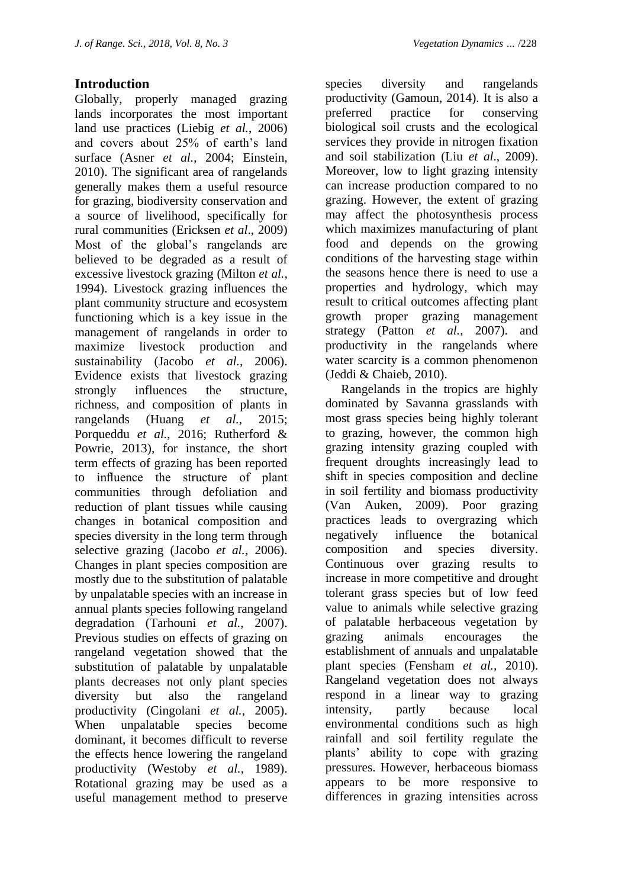## **Introduction**

Globally, properly managed grazing lands incorporates the most important land use practices (Liebig *et al.*, 2006) and covers about 25% of earth's land surface (Asner *et al.*, 2004; Einstein, 2010). The significant area of rangelands generally makes them a useful resource for grazing, biodiversity conservation and a source of livelihood, specifically for rural communities (Ericksen *et al*., 2009) Most of the global's rangelands are believed to be degraded as a result of excessive livestock grazing (Milton *et al.*, 1994). Livestock grazing influences the plant community structure and ecosystem functioning which is a key issue in the management of rangelands in order to maximize livestock production and sustainability (Jacobo *et al.*, 2006). Evidence exists that livestock grazing strongly influences the structure, richness, and composition of plants in rangelands (Huang *et al.*, 2015; Porqueddu *et al.*, 2016; Rutherford & Powrie, 2013), for instance, the short term effects of grazing has been reported to influence the structure of plant communities through defoliation and reduction of plant tissues while causing changes in botanical composition and species diversity in the long term through selective grazing (Jacobo *et al.*, 2006). Changes in plant species composition are mostly due to the substitution of palatable by unpalatable species with an increase in annual plants species following rangeland degradation (Tarhouni *et al.*, 2007). Previous studies on effects of grazing on rangeland vegetation showed that the substitution of palatable by unpalatable plants decreases not only plant species diversity but also the rangeland productivity (Cingolani *et al.*, 2005). When unpalatable species become dominant, it becomes difficult to reverse the effects hence lowering the rangeland productivity (Westoby *et al.*, 1989). Rotational grazing may be used as a useful management method to preserve

species diversity and rangelands productivity (Gamoun, 2014). It is also a preferred practice for conserving biological soil crusts and the ecological services they provide in nitrogen fixation and soil stabilization (Liu *et al*., 2009). Moreover, low to light grazing intensity can increase production compared to no grazing. However, the extent of grazing may affect the photosynthesis process which maximizes manufacturing of plant food and depends on the growing conditions of the harvesting stage within the seasons hence there is need to use a properties and hydrology, which may result to critical outcomes affecting plant growth proper grazing management strategy (Patton *et al.*, 2007). and productivity in the rangelands where water scarcity is a common phenomenon (Jeddi & Chaieb, 2010).

 Rangelands in the tropics are highly dominated by Savanna grasslands with most grass species being highly tolerant to grazing, however, the common high grazing intensity grazing coupled with frequent droughts increasingly lead to shift in species composition and decline in soil fertility and biomass productivity (Van Auken, 2009). Poor grazing practices leads to overgrazing which negatively influence the botanical composition and species diversity. Continuous over grazing results to increase in more competitive and drought tolerant grass species but of low feed value to animals while selective grazing of palatable herbaceous vegetation by grazing animals encourages the establishment of annuals and unpalatable plant species (Fensham *et al.*, 2010). Rangeland vegetation does not always respond in a linear way to grazing intensity, partly because local environmental conditions such as high rainfall and soil fertility regulate the plants' ability to cope with grazing pressures. However, herbaceous biomass appears to be more responsive to differences in grazing intensities across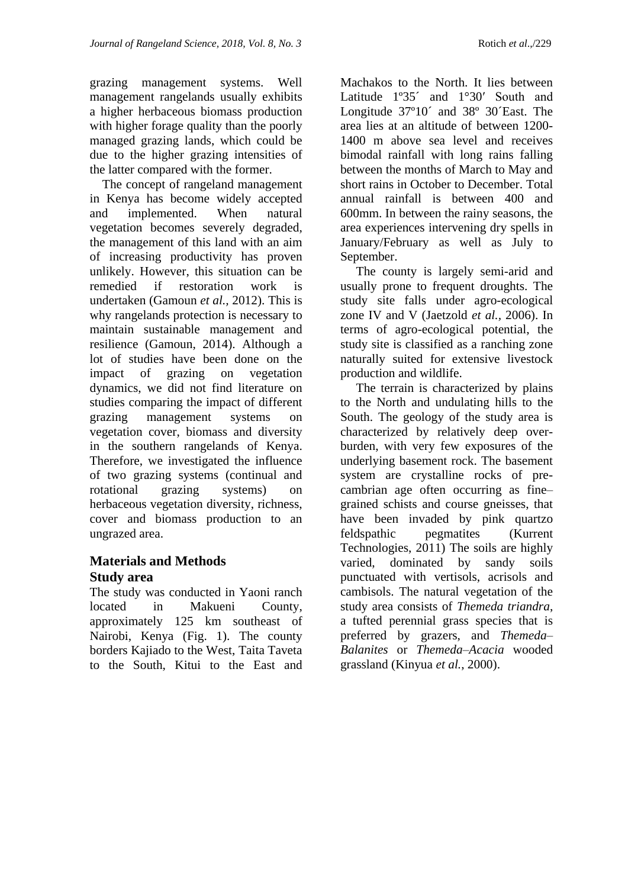grazing management systems. Well management rangelands usually exhibits a higher herbaceous biomass production with higher forage quality than the poorly managed grazing lands, which could be due to the higher grazing intensities of the latter compared with the former.

 The concept of rangeland management in Kenya has become widely accepted and implemented. When natural vegetation becomes severely degraded, the management of this land with an aim of increasing productivity has proven unlikely. However, this situation can be remedied if restoration work is undertaken (Gamoun *et al.,* 2012). This is why rangelands protection is necessary to maintain sustainable management and resilience (Gamoun, 2014). Although a lot of studies have been done on the impact of grazing on vegetation dynamics, we did not find literature on studies comparing the impact of different grazing management systems on vegetation cover, biomass and diversity in the southern rangelands of Kenya. Therefore, we investigated the influence of two grazing systems (continual and rotational grazing systems) on herbaceous vegetation diversity, richness, cover and biomass production to an ungrazed area.

## **Materials and Methods Study area**

The study was conducted in Yaoni ranch located in Makueni County, approximately 125 km southeast of Nairobi, Kenya (Fig. 1). The county borders Kajiado to the West, Taita Taveta to the South, Kitui to the East and

Machakos to the North. It lies between Latitude 1º35´ and 1°30′ South and Longitude  $37^{\circ}10'$  and  $38^{\circ}$  30<sup> $\prime$ </sup>East. The area lies at an altitude of between 1200- 1400 m above sea level and receives bimodal rainfall with long rains falling between the months of March to May and short rains in October to December. Total annual rainfall is between 400 and 600mm. In between the rainy seasons, the area experiences intervening dry spells in January/February as well as July to September.

 The county is largely semi-arid and usually prone to frequent droughts. The study site falls under agro-ecological zone IV and V (Jaetzold *et al.,* 2006). In terms of agro-ecological potential, the study site is classified as a ranching zone naturally suited for extensive livestock production and wildlife.

 The terrain is characterized by plains to the North and undulating hills to the South. The geology of the study area is characterized by relatively deep overburden, with very few exposures of the underlying basement rock. The basement system are crystalline rocks of precambrian age often occurring as fine– grained schists and course gneisses, that have been invaded by pink quartzo feldspathic pegmatites (Kurrent Technologies, 2011) The soils are highly varied, dominated by sandy soils punctuated with vertisols, acrisols and cambisols. The natural vegetation of the study area consists of *Themeda triandra*, a tufted perennial grass species that is preferred by grazers, and *Themeda– Balanites* or *Themeda*–*Acacia* wooded grassland (Kinyua *et al.*, 2000).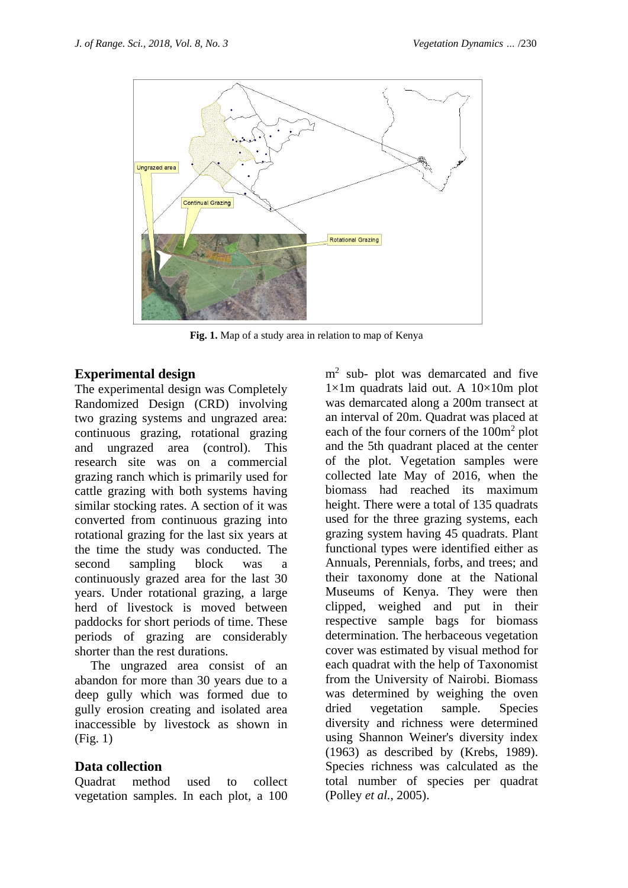

**Fig. 1.** Map of a study area in relation to map of Kenya

## **Experimental design**

The experimental design was Completely Randomized Design (CRD) involving two grazing systems and ungrazed area: continuous grazing, rotational grazing and ungrazed area (control). This research site was on a commercial grazing ranch which is primarily used for cattle grazing with both systems having similar stocking rates. A section of it was converted from continuous grazing into rotational grazing for the last six years at the time the study was conducted. The second sampling block was a continuously grazed area for the last 30 years. Under rotational grazing, a large herd of livestock is moved between paddocks for short periods of time. These periods of grazing are considerably shorter than the rest durations.

 The ungrazed area consist of an abandon for more than 30 years due to a deep gully which was formed due to gully erosion creating and isolated area inaccessible by livestock as shown in (Fig. 1)

## **Data collection**

Quadrat method used to collect vegetation samples. In each plot, a 100

m<sup>2</sup> sub- plot was demarcated and five  $1\times1$ m quadrats laid out. A  $10\times10$ m plot was demarcated along a 200m transect at an interval of 20m. Quadrat was placed at each of the four corners of the 100m<sup>2</sup> plot and the 5th quadrant placed at the center of the plot. Vegetation samples were collected late May of 2016, when the biomass had reached its maximum height. There were a total of 135 quadrats used for the three grazing systems, each grazing system having 45 quadrats. Plant functional types were identified either as Annuals, Perennials, forbs, and trees; and their taxonomy done at the National Museums of Kenya. They were then clipped, weighed and put in their respective sample bags for biomass determination. The herbaceous vegetation cover was estimated by visual method for each quadrat with the help of Taxonomist from the University of Nairobi. Biomass was determined by weighing the oven dried vegetation sample. Species diversity and richness were determined using Shannon Weiner's diversity index (1963) as described by (Krebs, 1989). Species richness was calculated as the total number of species per quadrat (Polley *et al.*, 2005).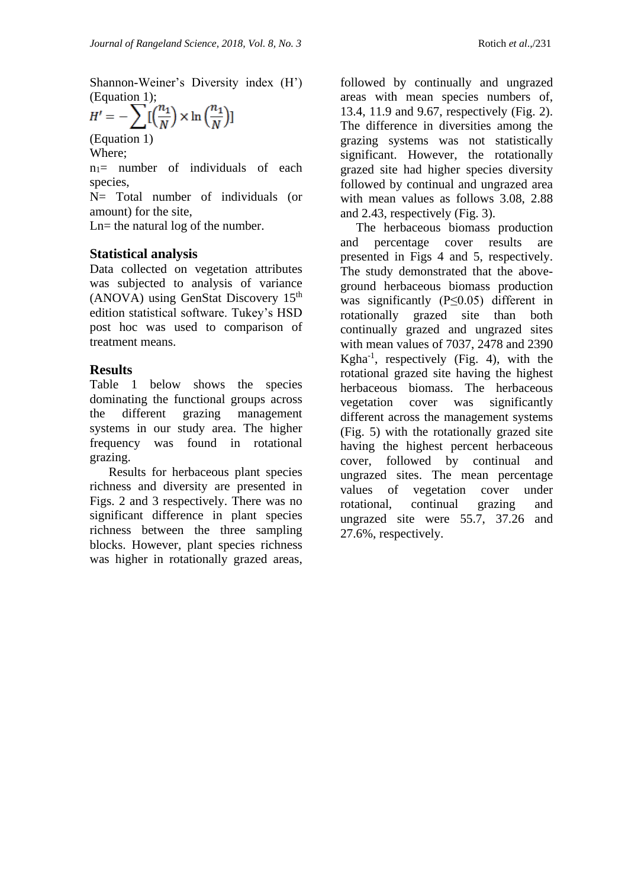Shannon-Weiner's Diversity index (H') (Equation 1);

$$
H' = -\sum \left[\left(\frac{n_1}{N}\right) \times \ln\left(\frac{n_1}{N}\right)\right]
$$

(Equation 1) Where;

 $n_1$ = number of individuals of each species,

N= Total number of individuals (or amount) for the site,

Ln= the natural log of the number.

## **Statistical analysis**

Data collected on vegetation attributes was subjected to analysis of variance (ANOVA) using GenStat Discovery  $15<sup>th</sup>$ edition statistical software. Tukey's HSD post hoc was used to comparison of treatment means.

## **Results**

Table 1 below shows the species dominating the functional groups across the different grazing management systems in our study area. The higher frequency was found in rotational grazing.

 Results for herbaceous plant species richness and diversity are presented in Figs. 2 and 3 respectively. There was no significant difference in plant species richness between the three sampling blocks. However, plant species richness was higher in rotationally grazed areas,

followed by continually and ungrazed areas with mean species numbers of, 13.4, 11.9 and 9.67, respectively (Fig. 2). The difference in diversities among the grazing systems was not statistically significant. However, the rotationally grazed site had higher species diversity followed by continual and ungrazed area with mean values as follows 3.08, 2.88 and 2.43, respectively (Fig. 3).

 The herbaceous biomass production and percentage cover results are presented in Figs 4 and 5, respectively. The study demonstrated that the aboveground herbaceous biomass production was significantly (P≤0.05) different in rotationally grazed site than both continually grazed and ungrazed sites with mean values of 7037, 2478 and 2390 Kgha-1 , respectively (Fig. 4), with the rotational grazed site having the highest herbaceous biomass. The herbaceous vegetation cover was significantly different across the management systems (Fig. 5) with the rotationally grazed site having the highest percent herbaceous cover, followed by continual and ungrazed sites. The mean percentage values of vegetation cover under rotational, continual grazing and ungrazed site were 55.7, 37.26 and 27.6%, respectively.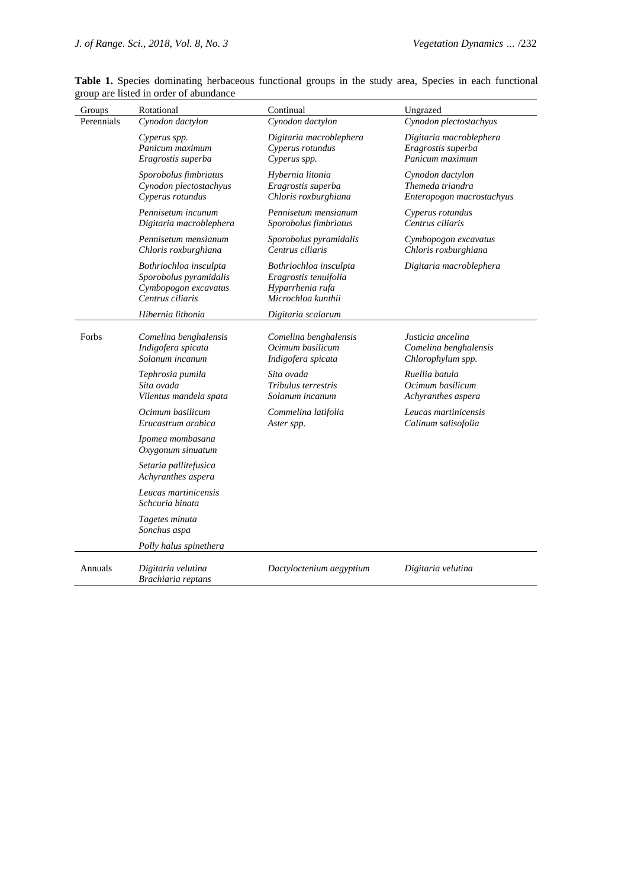| Groups     | Rotational                                                                                   | Continual                                                                                 | Ungrazed                                                          |
|------------|----------------------------------------------------------------------------------------------|-------------------------------------------------------------------------------------------|-------------------------------------------------------------------|
| Perennials | Cynodon dactylon                                                                             | Cynodon dactylon                                                                          | Cynodon plectostachyus                                            |
|            | Cyperus spp.<br>Panicum maximum<br>Eragrostis superba                                        | Digitaria macroblephera<br>Cyperus rotundus<br>Cyperus spp.                               | Digitaria macroblephera<br>Eragrostis superba<br>Panicum maximum  |
|            | Sporobolus fimbriatus<br>Cynodon plectostachyus<br>Cyperus rotundus                          | Hybernia litonia<br>Eragrostis superba<br>Chloris roxburghiana                            | Cynodon dactylon<br>Themeda triandra<br>Enteropogon macrostachyus |
|            | Pennisetum incunum<br>Digitaria macroblephera                                                | Pennisetum mensianum<br>Sporobolus fimbriatus                                             | Cyperus rotundus<br>Centrus ciliaris                              |
|            | Pennisetum mensianum<br>Chloris roxburghiana                                                 | Sporobolus pyramidalis<br>Centrus ciliaris                                                | Cymbopogon excavatus<br>Chloris roxburghiana                      |
|            | Bothriochloa insculpta<br>Sporobolus pyramidalis<br>Cymbopogon excavatus<br>Centrus ciliaris | Bothriochloa insculpta<br>Eragrostis tenuifolia<br>Hyparrhenia rufa<br>Microchloa kunthii | Digitaria macroblephera                                           |
|            | Hibernia lithonia                                                                            | Digitaria scalarum                                                                        |                                                                   |
| Forbs      | Comelina benghalensis<br>Indigofera spicata<br>Solanum incanum                               | Comelina benghalensis<br>Ocimum basilicum<br>Indigofera spicata                           | Justicia ancelina<br>Comelina benghalensis<br>Chlorophylum spp.   |
|            | Tephrosia pumila<br>Sita ovada<br>Vilentus mandela spata                                     | Sita ovada<br>Tribulus terrestris<br>Solanum incanum                                      | Ruellia batula<br>Ocimum basilicum<br>Achyranthes aspera          |
|            | Ocimum basilicum<br>Erucastrum arabica                                                       | Commelina latifolia<br>Aster spp.                                                         | Leucas martinicensis<br>Calinum salisofolia                       |
|            | Ipomea mombasana<br>Oxygonum sinuatum                                                        |                                                                                           |                                                                   |
|            | Setaria pallitefusica<br>Achyranthes aspera                                                  |                                                                                           |                                                                   |
|            | Leucas martinicensis<br>Schcuria binata                                                      |                                                                                           |                                                                   |
|            | Tagetes minuta<br>Sonchus aspa                                                               |                                                                                           |                                                                   |
|            | Polly halus spinethera                                                                       |                                                                                           |                                                                   |
| Annuals    | Digitaria velutina<br>Brachiaria reptans                                                     | Dactyloctenium aegyptium                                                                  | Digitaria velutina                                                |

Table 1. Species dominating herbaceous functional groups in the study area, Species in each functional group are listed in order of abundance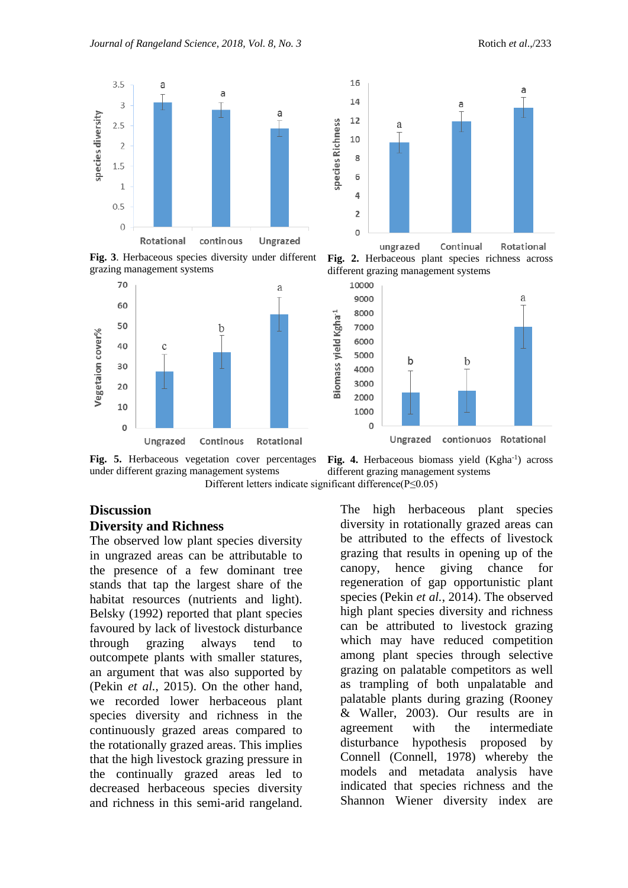

**Fig. 3**. Herbaceous species diversity under different grazing management systems





**Fig. 2.** Herbaceous plant species richness across different grazing management systems



**Fig. 5.** Herbaceous vegetation cover percentages under different grazing management systems Different letters indicate significant difference(P≤0.05)

#### **Discussion**

#### **Diversity and Richness**

The observed low plant species diversity in ungrazed areas can be attributable to the presence of a few dominant tree stands that tap the largest share of the habitat resources (nutrients and light). Belsky (1992) reported that plant species favoured by lack of livestock disturbance through grazing always tend to outcompete plants with smaller statures, an argument that was also supported by (Pekin *et al.*, 2015). On the other hand, we recorded lower herbaceous plant species diversity and richness in the continuously grazed areas compared to the rotationally grazed areas. This implies that the high livestock grazing pressure in the continually grazed areas led to decreased herbaceous species diversity and richness in this semi-arid rangeland.

Fig. 4. Herbaceous biomass yield (Kgha<sup>-1</sup>) across different grazing management systems

The high herbaceous plant species diversity in rotationally grazed areas can be attributed to the effects of livestock grazing that results in opening up of the canopy, hence giving chance for regeneration of gap opportunistic plant species (Pekin *et al.*, 2014). The observed high plant species diversity and richness can be attributed to livestock grazing which may have reduced competition among plant species through selective grazing on palatable competitors as well as trampling of both unpalatable and palatable plants during grazing (Rooney & Waller, 2003). Our results are in agreement with the intermediate disturbance hypothesis proposed by Connell (Connell, 1978) whereby the models and metadata analysis have indicated that species richness and the Shannon Wiener diversity index are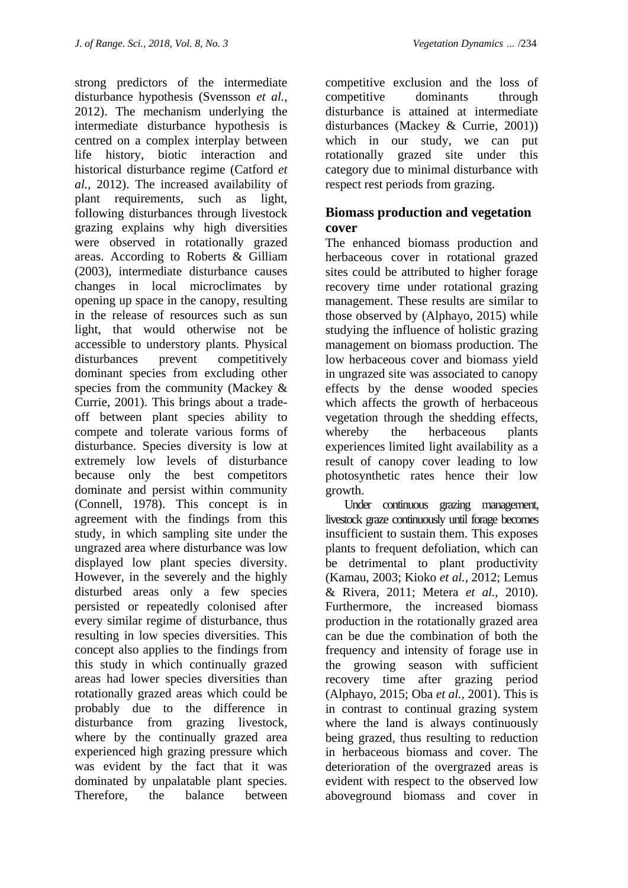strong predictors of the intermediate disturbance hypothesis (Svensson *et al.*, 2012). The mechanism underlying the intermediate disturbance hypothesis is centred on a complex interplay between life history, biotic interaction and historical disturbance regime (Catford *et al.*, 2012). The increased availability of plant requirements, such as light, following disturbances through livestock grazing explains why high diversities were observed in rotationally grazed areas. According to Roberts & Gilliam (2003), intermediate disturbance causes changes in local microclimates by opening up space in the canopy, resulting in the release of resources such as sun light, that would otherwise not be accessible to understory plants. Physical disturbances prevent competitively dominant species from excluding other species from the community (Mackey & Currie, 2001). This brings about a tradeoff between plant species ability to compete and tolerate various forms of disturbance. Species diversity is low at extremely low levels of disturbance because only the best competitors dominate and persist within community (Connell, 1978). This concept is in agreement with the findings from this study, in which sampling site under the ungrazed area where disturbance was low displayed low plant species diversity. However, in the severely and the highly disturbed areas only a few species persisted or repeatedly colonised after every similar regime of disturbance, thus resulting in low species diversities. This concept also applies to the findings from this study in which continually grazed areas had lower species diversities than rotationally grazed areas which could be probably due to the difference in disturbance from grazing livestock, where by the continually grazed area experienced high grazing pressure which was evident by the fact that it was dominated by unpalatable plant species. Therefore, the balance between

competitive exclusion and the loss of competitive dominants through disturbance is attained at intermediate disturbances (Mackey & Currie, 2001)) which in our study, we can put rotationally grazed site under this category due to minimal disturbance with respect rest periods from grazing.

## **Biomass production and vegetation cover**

The enhanced biomass production and herbaceous cover in rotational grazed sites could be attributed to higher forage recovery time under rotational grazing management. These results are similar to those observed by (Alphayo, 2015) while studying the influence of holistic grazing management on biomass production. The low herbaceous cover and biomass yield in ungrazed site was associated to canopy effects by the dense wooded species which affects the growth of herbaceous vegetation through the shedding effects, whereby the herbaceous plants experiences limited light availability as a result of canopy cover leading to low photosynthetic rates hence their low growth.

 Under continuous grazing management, livestock graze continuously until forage becomes insufficient to sustain them. This exposes plants to frequent defoliation, which can be detrimental to plant productivity (Kamau, 2003; Kioko *et al.*, 2012; Lemus & Rivera, 2011; Metera *et al.*, 2010). Furthermore, the increased biomass production in the rotationally grazed area can be due the combination of both the frequency and intensity of forage use in the growing season with sufficient recovery time after grazing period (Alphayo, 2015; Oba *et al.*, 2001). This is in contrast to continual grazing system where the land is always continuously being grazed, thus resulting to reduction in herbaceous biomass and cover. The deterioration of the overgrazed areas is evident with respect to the observed low aboveground biomass and cover in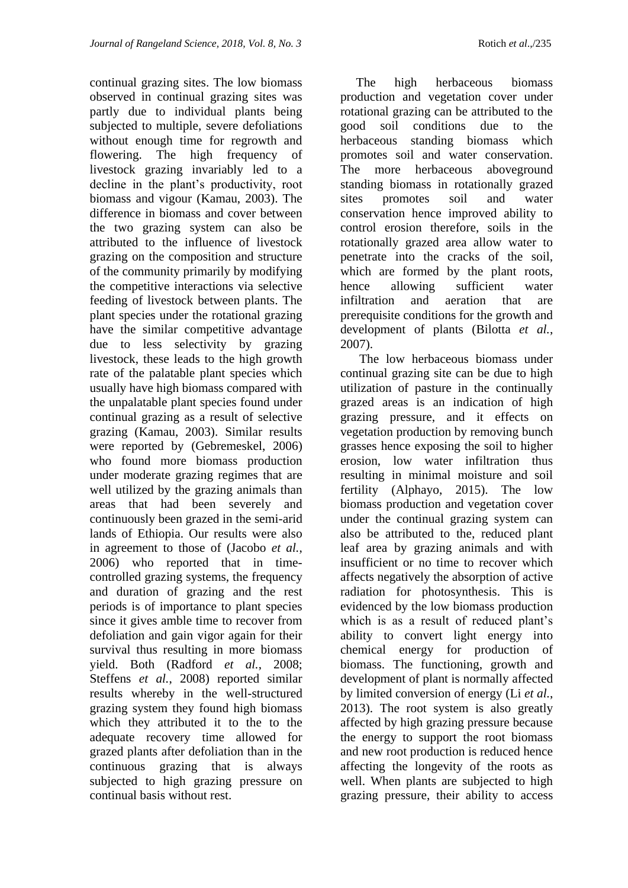continual grazing sites. The low biomass observed in continual grazing sites was partly due to individual plants being subjected to multiple, severe defoliations without enough time for regrowth and flowering. The high frequency of livestock grazing invariably led to a decline in the plant's productivity, root biomass and vigour (Kamau, 2003). The difference in biomass and cover between the two grazing system can also be attributed to the influence of livestock grazing on the composition and structure of the community primarily by modifying the competitive interactions via selective feeding of livestock between plants. The plant species under the rotational grazing have the similar competitive advantage due to less selectivity by grazing livestock, these leads to the high growth rate of the palatable plant species which usually have high biomass compared with the unpalatable plant species found under continual grazing as a result of selective grazing (Kamau, 2003). Similar results were reported by (Gebremeskel, 2006) who found more biomass production under moderate grazing regimes that are well utilized by the grazing animals than areas that had been severely and continuously been grazed in the semi-arid lands of Ethiopia. Our results were also in agreement to those of (Jacobo *et al.*, 2006) who reported that in timecontrolled grazing systems, the frequency and duration of grazing and the rest periods is of importance to plant species since it gives amble time to recover from defoliation and gain vigor again for their survival thus resulting in more biomass yield. Both (Radford *et al.*, 2008; Steffens *et al.*, 2008) reported similar results whereby in the well-structured grazing system they found high biomass which they attributed it to the to the adequate recovery time allowed for grazed plants after defoliation than in the continuous grazing that is always subjected to high grazing pressure on continual basis without rest.

 The high herbaceous biomass production and vegetation cover under rotational grazing can be attributed to the good soil conditions due to the herbaceous standing biomass which promotes soil and water conservation. The more herbaceous aboveground standing biomass in rotationally grazed sites promotes soil and water conservation hence improved ability to control erosion therefore, soils in the rotationally grazed area allow water to penetrate into the cracks of the soil, which are formed by the plant roots, hence allowing sufficient water infiltration and aeration that are prerequisite conditions for the growth and development of plants (Bilotta *et al.*, 2007).

 The low herbaceous biomass under continual grazing site can be due to high utilization of pasture in the continually grazed areas is an indication of high grazing pressure, and it effects on vegetation production by removing bunch grasses hence exposing the soil to higher erosion, low water infiltration thus resulting in minimal moisture and soil fertility (Alphayo, 2015). The low biomass production and vegetation cover under the continual grazing system can also be attributed to the, reduced plant leaf area by grazing animals and with insufficient or no time to recover which affects negatively the absorption of active radiation for photosynthesis. This is evidenced by the low biomass production which is as a result of reduced plant's ability to convert light energy into chemical energy for production of biomass. The functioning, growth and development of plant is normally affected by limited conversion of energy (Li *et al.*, 2013). The root system is also greatly affected by high grazing pressure because the energy to support the root biomass and new root production is reduced hence affecting the longevity of the roots as well. When plants are subjected to high grazing pressure, their ability to access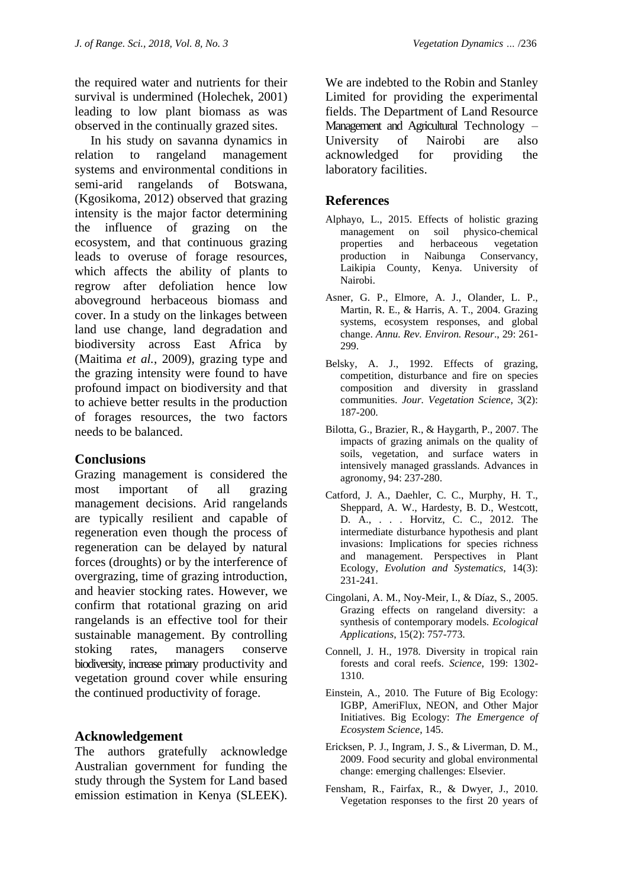the required water and nutrients for their survival is undermined (Holechek, 2001) leading to low plant biomass as was observed in the continually grazed sites.

 In his study on savanna dynamics in relation to rangeland management systems and environmental conditions in semi-arid rangelands of Botswana, (Kgosikoma, 2012) observed that grazing intensity is the major factor determining the influence of grazing on the ecosystem, and that continuous grazing leads to overuse of forage resources, which affects the ability of plants to regrow after defoliation hence low aboveground herbaceous biomass and cover. In a study on the linkages between land use change, land degradation and biodiversity across East Africa by (Maitima *et al.*, 2009), grazing type and the grazing intensity were found to have profound impact on biodiversity and that to achieve better results in the production of forages resources, the two factors needs to be balanced.

## **Conclusions**

Grazing management is considered the most important of all grazing management decisions. Arid rangelands are typically resilient and capable of regeneration even though the process of regeneration can be delayed by natural forces (droughts) or by the interference of overgrazing, time of grazing introduction, and heavier stocking rates. However, we confirm that rotational grazing on arid rangelands is an effective tool for their sustainable management. By controlling stoking rates, managers conserve biodiversity, increase primary productivity and vegetation ground cover while ensuring the continued productivity of forage.

## **Acknowledgement**

The authors gratefully acknowledge Australian government for funding the study through the System for Land based emission estimation in Kenya (SLEEK).

We are indebted to the Robin and Stanley Limited for providing the experimental fields. The Department of Land Resource Management and Agricultural Technology – University of Nairobi are also acknowledged for providing the laboratory facilities.

## **References**

- Alphayo, L., 2015. Effects of holistic grazing management on soil physico-chemical properties and herbaceous vegetation production in Naibunga Conservancy, Laikipia County, Kenya. University of Nairobi.
- Asner, G. P., Elmore, A. J., Olander, L. P., Martin, R. E., & Harris, A. T., 2004. Grazing systems, ecosystem responses, and global change. *Annu. Rev. Environ. Resour*., 29: 261- 299.
- Belsky, A. J., 1992. Effects of grazing, competition, disturbance and fire on species composition and diversity in grassland communities. *Jour. Vegetation Science*, 3(2): 187-200.
- Bilotta, G., Brazier, R., & Haygarth, P., 2007. The impacts of grazing animals on the quality of soils, vegetation, and surface waters in intensively managed grasslands. Advances in agronomy, 94: 237-280.
- Catford, J. A., Daehler, C. C., Murphy, H. T., Sheppard, A. W., Hardesty, B. D., Westcott, D. A., . . . Horvitz, C. C., 2012. The intermediate disturbance hypothesis and plant invasions: Implications for species richness and management. Perspectives in Plant Ecology, *Evolution and Systematics*, 14(3): 231-241.
- Cingolani, A. M., Noy-Meir, I., & Díaz, S., 2005. Grazing effects on rangeland diversity: a synthesis of contemporary models. *Ecological Applications*, 15(2): 757-773.
- Connell, J. H., 1978. Diversity in tropical rain forests and coral reefs. *Science*, 199: 1302- 1310.
- Einstein, A., 2010. The Future of Big Ecology: IGBP, AmeriFlux, NEON, and Other Major Initiatives. Big Ecology: *The Emergence of Ecosystem Science*, 145.
- Ericksen, P. J., Ingram, J. S., & Liverman, D. M., 2009. Food security and global environmental change: emerging challenges: Elsevier.
- Fensham, R., Fairfax, R., & Dwyer, J., 2010. Vegetation responses to the first 20 years of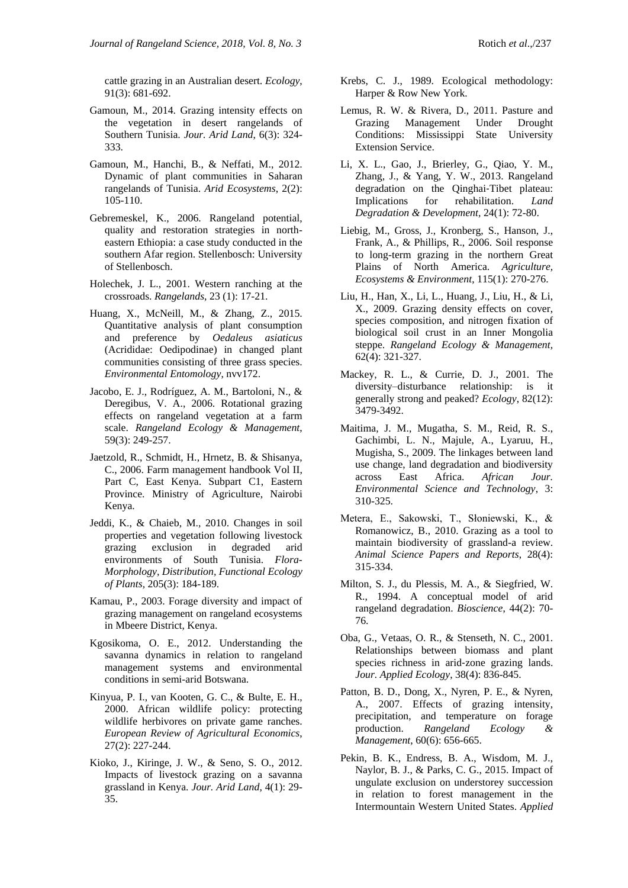cattle grazing in an Australian desert. *Ecology*, 91(3): 681-692.

- Gamoun, M., 2014. Grazing intensity effects on the vegetation in desert rangelands of Southern Tunisia. *Jour. Arid Land*, 6(3): 324- 333.
- Gamoun, M., Hanchi, B., & Neffati, M., 2012. Dynamic of plant communities in Saharan rangelands of Tunisia. *Arid Ecosystems*, 2(2): 105-110.
- Gebremeskel, K., 2006. Rangeland potential, quality and restoration strategies in northeastern Ethiopia: a case study conducted in the southern Afar region. Stellenbosch: University of Stellenbosch.
- Holechek, J. L., 2001. Western ranching at the crossroads. *Rangelands*, 23 (1): 17-21.
- Huang, X., McNeill, M., & Zhang, Z., 2015. Quantitative analysis of plant consumption and preference by *Oedaleus asiaticus* (Acrididae: Oedipodinae) in changed plant communities consisting of three grass species. *Environmental Entomology*, nvv172.
- Jacobo, E. J., Rodríguez, A. M., Bartoloni, N., & Deregibus, V. A., 2006. Rotational grazing effects on rangeland vegetation at a farm scale. *Rangeland Ecology & Management*, 59(3): 249-257.
- Jaetzold, R., Schmidt, H., Hrnetz, B. & Shisanya, C., 2006. Farm management handbook Vol II, Part C, East Kenya. Subpart C1, Eastern Province. Ministry of Agriculture, Nairobi Kenya.
- Jeddi, K., & Chaieb, M., 2010. Changes in soil properties and vegetation following livestock grazing exclusion in degraded arid environments of South Tunisia. *Flora-Morphology, Distribution, Functional Ecology of Plants,* 205(3): 184-189.
- Kamau, P., 2003. Forage diversity and impact of grazing management on rangeland ecosystems in Mbeere District, Kenya.
- Kgosikoma, O. E., 2012. Understanding the savanna dynamics in relation to rangeland management systems and environmental conditions in semi-arid Botswana.
- Kinyua, P. I., van Kooten, G. C., & Bulte, E. H., 2000. African wildlife policy: protecting wildlife herbivores on private game ranches. *European Review of Agricultural Economics*, 27(2): 227-244.
- Kioko, J., Kiringe, J. W., & Seno, S. O., 2012. Impacts of livestock grazing on a savanna grassland in Kenya. *Jour. Arid Land*, 4(1): 29- 35.
- Krebs, C. J., 1989. Ecological methodology: Harper & Row New York.
- Lemus, R. W. & Rivera, D., 2011. Pasture and Grazing Management Under Drought Conditions: Mississippi State University Extension Service.
- Li, X. L., Gao, J., Brierley, G., Qiao, Y. M., Zhang, J., & Yang, Y. W., 2013. Rangeland degradation on the Qinghai‐Tibet plateau: Implications for rehabilitation. *Land Degradation & Development,* 24(1): 72-80.
- Liebig, M., Gross, J., Kronberg, S., Hanson, J., Frank, A., & Phillips, R., 2006. Soil response to long-term grazing in the northern Great Plains of North America. *Agriculture, Ecosystems & Environment*, 115(1): 270-276.
- Liu, H., Han, X., Li, L., Huang, J., Liu, H., & Li, X., 2009. Grazing density effects on cover, species composition, and nitrogen fixation of biological soil crust in an Inner Mongolia steppe. *Rangeland Ecology & Management,* 62(4): 321-327.
- Mackey, R. L., & Currie, D. J., 2001. The diversity–disturbance relationship: is it generally strong and peaked? *Ecology*, 82(12): 3479-3492.
- Maitima, J. M., Mugatha, S. M., Reid, R. S., Gachimbi, L. N., Majule, A., Lyaruu, H., Mugisha, S., 2009. The linkages between land use change, land degradation and biodiversity across East Africa. *African Jour. Environmental Science and Technology*, 3: 310-325.
- Metera, E., Sakowski, T., Słoniewski, K., & Romanowicz, B., 2010. Grazing as a tool to maintain biodiversity of grassland-a review. *Animal Science Papers and Reports*, 28(4): 315-334.
- Milton, S. J., du Plessis, M. A., & Siegfried, W. R., 1994. A conceptual model of arid rangeland degradation. *Bioscience*, 44(2): 70- 76.
- Oba, G., Vetaas, O. R., & Stenseth, N. C., 2001. Relationships between biomass and plant species richness in arid‐zone grazing lands. *Jour. Applied Ecology*, 38(4): 836-845.
- Patton, B. D., Dong, X., Nyren, P. E., & Nyren, A., 2007. Effects of grazing intensity, precipitation, and temperature on forage production. *Rangeland Ecology & Management*, 60(6): 656-665.
- Pekin, B. K., Endress, B. A., Wisdom, M. J., Naylor, B. J., & Parks, C. G., 2015. Impact of ungulate exclusion on understorey succession in relation to forest management in the Intermountain Western United States. *Applied*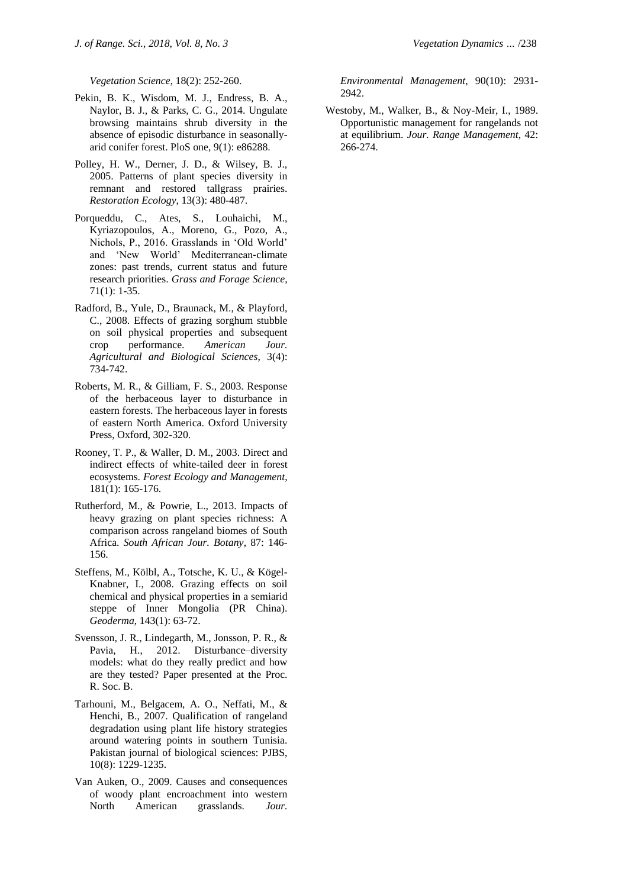*Vegetation Science*, 18(2): 252-260.

- Pekin, B. K., Wisdom, M. J., Endress, B. A., Naylor, B. J., & Parks, C. G., 2014. Ungulate browsing maintains shrub diversity in the absence of episodic disturbance in seasonallyarid conifer forest. PloS one, 9(1): e86288.
- Polley, H. W., Derner, J. D., & Wilsey, B. J., 2005. Patterns of plant species diversity in remnant and restored tallgrass prairies. *Restoration Ecology*, 13(3): 480-487.
- Porqueddu, C., Ates, S., Louhaichi, M., Kyriazopoulos, A., Moreno, G., Pozo, A., Nichols, P., 2016. Grasslands in 'Old World' and 'New World' Mediterranean‐climate zones: past trends, current status and future research priorities. *Grass and Forage Science*, 71(1): 1-35.
- Radford, B., Yule, D., Braunack, M., & Playford, C., 2008. Effects of grazing sorghum stubble on soil physical properties and subsequent crop performance. *American Jour. Agricultural and Biological Sciences*, 3(4): 734-742.
- Roberts, M. R., & Gilliam, F. S., 2003. Response of the herbaceous layer to disturbance in eastern forests. The herbaceous layer in forests of eastern North America. Oxford University Press, Oxford, 302-320.
- Rooney, T. P., & Waller, D. M., 2003. Direct and indirect effects of white-tailed deer in forest ecosystems. *Forest Ecology and Management*, 181(1): 165-176.
- Rutherford, M., & Powrie, L., 2013. Impacts of heavy grazing on plant species richness: A comparison across rangeland biomes of South Africa. *South African Jour. Botany*, 87: 146- 156.
- Steffens, M., Kölbl, A., Totsche, K. U., & Kögel-Knabner, I., 2008. Grazing effects on soil chemical and physical properties in a semiarid steppe of Inner Mongolia (PR China). *Geoderma*, 143(1): 63-72.
- Svensson, J. R., Lindegarth, M., Jonsson, P. R., & Pavia, H., 2012. Disturbance–diversity models: what do they really predict and how are they tested? Paper presented at the Proc. R. Soc. B.
- Tarhouni, M., Belgacem, A. O., Neffati, M., & Henchi, B., 2007. Qualification of rangeland degradation using plant life history strategies around watering points in southern Tunisia. Pakistan journal of biological sciences: PJBS, 10(8): 1229-1235.
- Van Auken, O., 2009. Causes and consequences of woody plant encroachment into western North American grasslands. *Jour.*

*Environmental Management*, 90(10): 2931- 2942.

Westoby, M., Walker, B., & Noy-Meir, I., 1989. Opportunistic management for rangelands not at equilibrium. *Jour. Range Management*, 42: 266-274.